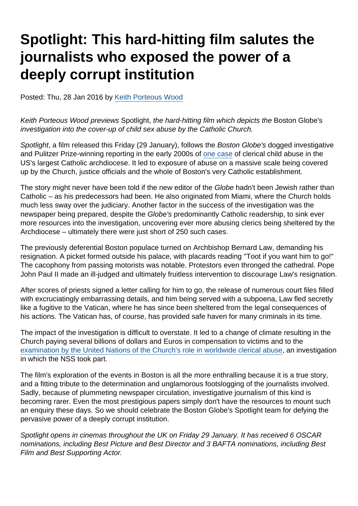## Spotlight: This hard-hitting film salutes the journalists who exposed the power of a deeply corrupt institution

Posted: Thu, 28 Jan 2016 by [Keith Porteous Wood](https://www.secularism.org.uk/opinion/authors/852)

Keith Porteous Wood previews Spotlight, the hard-hitting film which depicts the Boston Globe's investigation into the cover-up of child sex abuse by the Catholic Church.

Spotlight, a film released this Friday (29 January), follows the Boston Globe's dogged investigative and Pulitzer Prize-winning reporting in the early 2000s of [one case](https://www.bostonglobe.com/news/special-reports/2002/01/06/church-allowed-abuse-priest-for-years/cSHfGkTIrAT25qKGvBuDNM/story.html?p1=Article_Trending_Most_Viewed) of clerical child abuse in the US's largest Catholic archdiocese. It led to exposure of abuse on a massive scale being covered up by the Church, justice officials and the whole of Boston's very Catholic establishment.

The story might never have been told if the new editor of the Globe hadn't been Jewish rather than Catholic – as his predecessors had been. He also originated from Miami, where the Church holds much less sway over the judiciary. Another factor in the success of the investigation was the newspaper being prepared, despite the Globe's predominantly Catholic readership, to sink ever more resources into the investigation, uncovering ever more abusing clerics being sheltered by the Archdiocese – ultimately there were just short of 250 such cases.

The previously deferential Boston populace turned on Archbishop Bernard Law, demanding his resignation. A picket formed outside his palace, with placards reading "Toot if you want him to go!" The cacophony from passing motorists was notable. Protestors even thronged the cathedral. Pope John Paul II made an ill-judged and ultimately fruitless intervention to discourage Law's resignation.

After scores of priests signed a letter calling for him to go, the release of numerous court files filled with excruciatingly embarrassing details, and him being served with a subpoena, Law fled secretly like a fugitive to the Vatican, where he has since been sheltered from the legal consequences of his actions. The Vatican has, of course, has provided safe haven for many criminals in its time.

The impact of the investigation is difficult to overstate. It led to a change of climate resulting in the Church paying several billions of dollars and Euros in compensation to victims and to the [examination by the United Nations of the Church's role in worldwide clerical abuse,](https://www.secularism.org.uk/news/2014/02/un-childrens-body-slates-vatican-over-child-abuse) an investigation in which the NSS took part.

The film's exploration of the events in Boston is all the more enthralling because it is a true story, and a fitting tribute to the determination and unglamorous footslogging of the journalists involved. Sadly, because of plummeting newspaper circulation, investigative journalism of this kind is becoming rarer. Even the most prestigious papers simply don't have the resources to mount such an enquiry these days. So we should celebrate the Boston Globe's Spotlight team for defying the pervasive power of a deeply corrupt institution.

Spotlight opens in cinemas throughout the UK on Friday 29 January. It has received 6 OSCAR nominations, including Best Picture and Best Director and 3 BAFTA nominations, including Best Film and Best Supporting Actor.